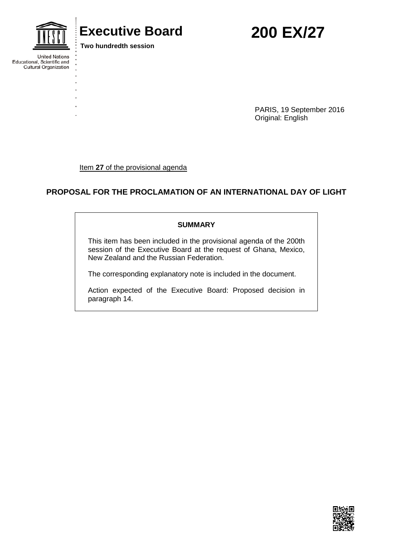

**United Nations** 

Drilled Nations<br>Educational, Scientific and<br>Cultural Organization

# **Executive Board 200 EX/27**

**Two hundredth session**

PARIS, 19 September 2016 Original: English

Item 27 of the provisional agenda

# **PROPOSAL FOR THE PROCLAMATION OF AN INTERNATIONAL DAY OF LIGHT**

#### **SUMMARY**

This item has been included in the provisional agenda of the 200th session of the Executive Board at the request of Ghana, Mexico, New Zealand and the Russian Federation.

The corresponding explanatory note is included in the document.

Action expected of the Executive Board: Proposed decision in paragraph 14.

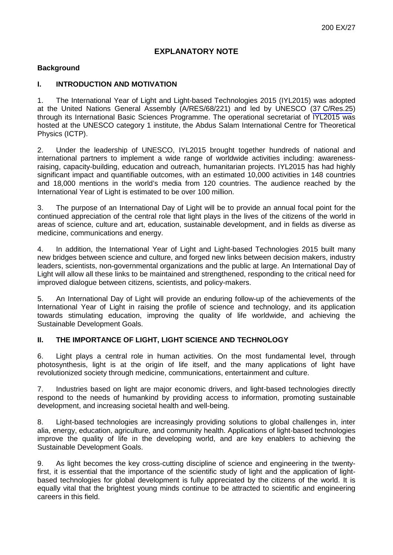# **EXPLANATORY NOTE**

# **Background**

## **I. INTRODUCTION AND MOTIVATION**

1. The International Year of Light and Light-based Technologies 2015 (IYL2015) was adopted at the United Nations General Assembly (A/RES/68/221) and led by UNESCO (37 [C/Res.25](https://unesdoc.unesco.org/ark:/48223/pf0000226162_eng.nameddest=25)) through its International Basic Sciences Programme. The operational secretariat of IYL2015 was hosted at the UNESCO category 1 institute, the Abdus Salam International Centre for Theoretical Physics (ICTP).

2. Under the leadership of UNESCO, IYL2015 brought together hundreds of national and international partners to implement a wide range of worldwide activities including: awarenessraising, capacity-building, education and outreach, humanitarian projects. IYL2015 has had highly significant impact and quantifiable outcomes, with an estimated 10,000 activities in 148 countries and 18,000 mentions in the world's media from 120 countries. The audience reached by the International Year of Light is estimated to be over 100 million.

3. The purpose of an International Day of Light will be to provide an annual focal point for the continued appreciation of the central role that light plays in the lives of the citizens of the world in areas of science, culture and art, education, sustainable development, and in fields as diverse as medicine, communications and energy.

4. In addition, the International Year of Light and Light-based Technologies 2015 built many new bridges between science and culture, and forged new links between decision makers, industry leaders, scientists, non-governmental organizations and the public at large. An International Day of Light will allow all these links to be maintained and strengthened, responding to the critical need for improved dialogue between citizens, scientists, and policy-makers.

5. An International Day of Light will provide an enduring follow-up of the achievements of the International Year of Light in raising the profile of science and technology, and its application towards stimulating education, improving the quality of life worldwide, and achieving the Sustainable Development Goals.

# **II. THE IMPORTANCE OF LIGHT, LIGHT SCIENCE AND TECHNOLOGY**

6. Light plays a central role in human activities. On the most fundamental level, through photosynthesis, light is at the origin of life itself, and the many applications of light have revolutionized society through medicine, communications, entertainment and culture.

7. Industries based on light are major economic drivers, and light-based technologies directly respond to the needs of humankind by providing access to information, promoting sustainable development, and increasing societal health and well-being.

8. Light-based technologies are increasingly providing solutions to global challenges in, inter alia, energy, education, agriculture, and community health. Applications of light-based technologies improve the quality of life in the developing world, and are key enablers to achieving the Sustainable Development Goals.

9. As light becomes the key cross-cutting discipline of science and engineering in the twentyfirst, it is essential that the importance of the scientific study of light and the application of lightbased technologies for global development is fully appreciated by the citizens of the world. It is equally vital that the brightest young minds continue to be attracted to scientific and engineering careers in this field.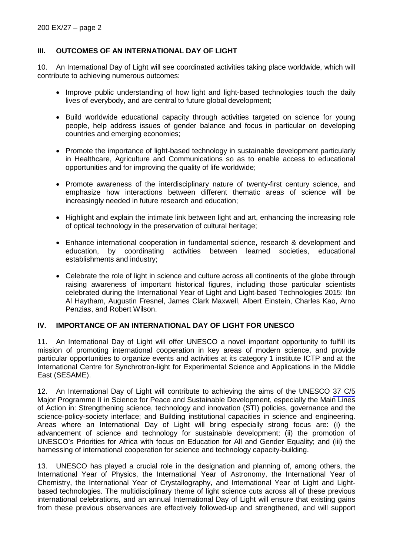# **III. OUTCOMES OF AN INTERNATIONAL DAY OF LIGHT**

10. An International Day of Light will see coordinated activities taking place worldwide, which will contribute to achieving numerous outcomes:

- Improve public understanding of how light and light-based technologies touch the daily lives of everybody, and are central to future global development;
- Build worldwide educational capacity through activities targeted on science for young people, help address issues of gender balance and focus in particular on developing countries and emerging economies;
- Promote the importance of light-based technology in sustainable development particularly in Healthcare, Agriculture and Communications so as to enable access to educational opportunities and for improving the quality of life worldwide;
- Promote awareness of the interdisciplinary nature of twenty-first century science, and emphasize how interactions between different thematic areas of science will be increasingly needed in future research and education;
- Highlight and explain the intimate link between light and art, enhancing the increasing role of optical technology in the preservation of cultural heritage;
- Enhance international cooperation in fundamental science, research & development and education, by coordinating activities between learned societies, educational establishments and industry;
- Celebrate the role of light in science and culture across all continents of the globe through raising awareness of important historical figures, including those particular scientists celebrated during the International Year of Light and Light-based Technologies 2015: Ibn Al Haytham, Augustin Fresnel, James Clark Maxwell, Albert Einstein, Charles Kao, Arno Penzias, and Robert Wilson.

### **IV. IMPORTANCE OF AN INTERNATIONAL DAY OF LIGHT FOR UNESCO**

11. An International Day of Light will offer UNESCO a novel important opportunity to fulfill its mission of promoting international cooperation in key areas of modern science, and provide particular opportunities to organize events and activities at its category 1 institute ICTP and at the International Centre for Synchrotron-light for Experimental Science and Applications in the Middle East (SESAME).

12. An International Day of Light will contribute to achieving the aims of the UNESCO [37 C/5](https://unesdoc.unesco.org/ark:/48223/pf0000226695_eng)  Major Programme II in Science for Peace and Sustainable Development, especially the Main Lines of Action in: Strengthening science, technology and innovation (STI) policies, governance and the science-policy-society interface; and Building institutional capacities in science and engineering. Areas where an International Day of Light will bring especially strong focus are: (i) the advancement of science and technology for sustainable development; (ii) the promotion of UNESCO's Priorities for Africa with focus on Education for All and Gender Equality; and (iii) the harnessing of international cooperation for science and technology capacity-building.

13. UNESCO has played a crucial role in the designation and planning of, among others, the International Year of Physics, the International Year of Astronomy, the International Year of Chemistry, the International Year of Crystallography, and International Year of Light and Lightbased technologies. The multidisciplinary theme of light science cuts across all of these previous international celebrations, and an annual International Day of Light will ensure that existing gains from these previous observances are effectively followed-up and strengthened, and will support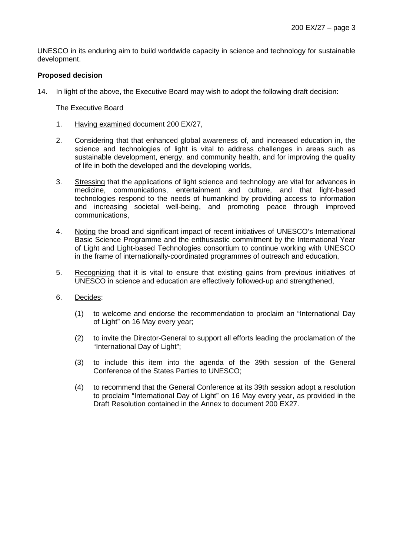UNESCO in its enduring aim to build worldwide capacity in science and technology for sustainable development.

### **Proposed decision**

14. In light of the above, the Executive Board may wish to adopt the following draft decision:

The Executive Board

- 1. Having examined document 200 EX/27,
- 2. Considering that that enhanced global awareness of, and increased education in, the science and technologies of light is vital to address challenges in areas such as sustainable development, energy, and community health, and for improving the quality of life in both the developed and the developing worlds,
- 3. Stressing that the applications of light science and technology are vital for advances in medicine, communications, entertainment and culture, and that light-based technologies respond to the needs of humankind by providing access to information and increasing societal well-being, and promoting peace through improved communications,
- 4. Noting the broad and significant impact of recent initiatives of UNESCO's International Basic Science Programme and the enthusiastic commitment by the International Year of Light and Light-based Technologies consortium to continue working with UNESCO in the frame of internationally-coordinated programmes of outreach and education,
- 5. Recognizing that it is vital to ensure that existing gains from previous initiatives of UNESCO in science and education are effectively followed-up and strengthened,
- 6. Decides:
	- (1) to welcome and endorse the recommendation to proclaim an "International Day of Light" on 16 May every year;
	- (2) to invite the Director-General to support all efforts leading the proclamation of the "International Day of Light";
	- (3) to include this item into the agenda of the 39th session of the General Conference of the States Parties to UNESCO;
	- (4) to recommend that the General Conference at its 39th session adopt a resolution to proclaim "International Day of Light" on 16 May every year, as provided in the Draft Resolution contained in the Annex to document 200 EX27.